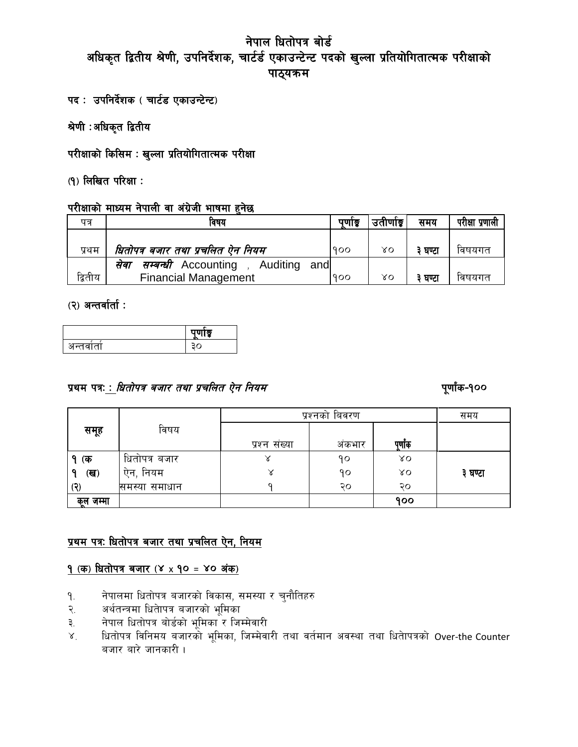- पद: उपनिर्देशक (चार्टड एकाउन्टेन्ट)
- श्रेणी :अधिकृत द्वितीय
- परीक्षाको किसिम : खुल्ला प्रतियोगितात्मक परीक्षा
- $(9)$  लिखित परिक्षा:

## परीक्षाको माध्यम नेपाली वा अंग्रेजी भाषमा हुनेछ

| पत्र    | ावषय                                             |     | उताणाडू | समय   | परीक्षा प्रणाली |
|---------|--------------------------------------------------|-----|---------|-------|-----------------|
|         |                                                  |     |         |       |                 |
| प्रथम   | धितोपत्र बजार तथा प्रचलित ऐन नियम<br>900         |     | γo      | घण्टा | विषयगत          |
|         | <i>सम्बन्धी</i> Accounting, Auditing and<br>संवा |     |         |       |                 |
| द्वितीय | <b>Financial Management</b>                      | 900 | γo      | घण्टा | विषयगत          |

## $(2)$  अन्तर्वार्ता :

|     | $  -$<br>$\sim$ |
|-----|-----------------|
| . . |                 |

## k|yd kqM M lwtf]kq ahf/ tyf k|rlnt P]g lgod k"0ff{+s–!))

|              |               | प्रश्नको बिवरण |        |         | समय     |
|--------------|---------------|----------------|--------|---------|---------|
| समूह         | विषय          |                |        |         |         |
|              |               | प्रश्न संख्या  | अंकभार | पूर्णाक |         |
| १ (क         | धितोपत्र बजार | õ              | ۹o     | λO      |         |
| (ख)          | ऐन, नियम      | Χ              | ۹٥     | XΟ      | ३ घण्टा |
| (న           | समस्या समाधान |                | २०     | २०      |         |
| जम्मा<br>केल |               |                |        | 900     |         |

## प्रथम पत्रः धितोपत्र बजार तथा प्रचलित ऐन, नियम

## <u>१ (क) धितोपत्र बजार (४ x १० = ४० अंक)</u>

- <u>१</u>. नेपालमा धितोपत्र बजारको विकास, समस्या र चुनौतिहरु
- २. अर्थतन्त्रमा धिताेपत्र बजारको भूमिका
- ३. नेपाल धितोपत्र बोर्डको भूमिका र जिम्मेवारी
- ४. धितोपत्र विनिमय बजारको भूमिका, जिम्मेवारी तथा वर्तमान अवस्था तथा धितेापत्रको Over-the Counter बजार बारे जानकारी  $\overline{L}$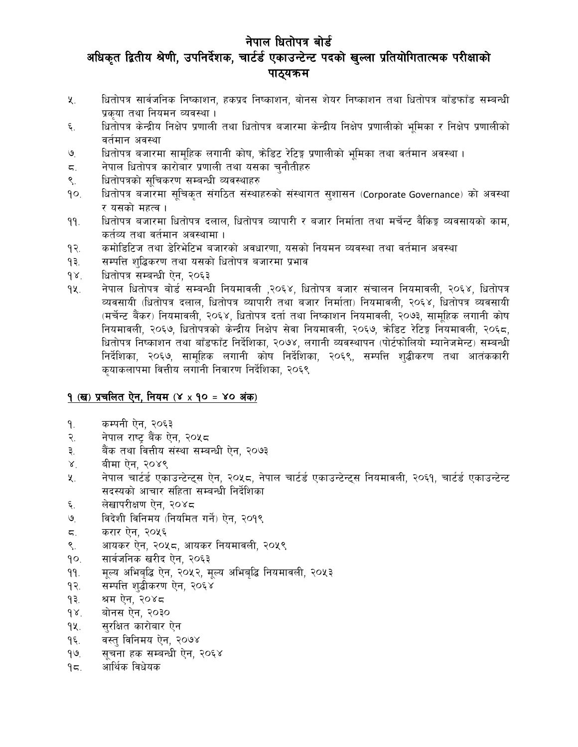- धितोपत्र सार्वजनिक निष्काशन, हकप्रद निष्काशन, बोनस शेयर निष्काशन तथा धितोपत्र बाँडफाँड सम्बन्धी  $x_{1}$ प्रकुया तथा नियमन व्यवस्था ।
- धितोपत्र केन्द्रीय निक्षेप प्रणाली तथा धितोपत्र बजारमा केन्द्रीय निक्षेप प्रणालीको भूमिका र निक्षेप प्रणालीको ६. वर्तमान अवस्था
- धितोपत्र बजारमा सामुहिक लगानी कोष, क्रेडिट रेटिङ्ग प्रणालीको भूमिका तथा वर्तमान अवस्था ।  $\mathcal{O}_{\cdot}$
- नेपाल धितोपत्र कारोबार प्रणाली तथा यसका चनौतीहरु  $\overline{a}$ .
- धितोपत्रको सुचिकरण सम्बन्धी व्यवस्थाहरु  $\mathsf{S}$ .
- धितोपत्र बजारमा सुचिकृत संगठित संस्थाहरुको संस्थागत सुशासन (Corporate Governance) को अवस्था  $90.$ र यसको महत्व।
- धितोपत्र बजारमा धितोपत्र दलाल, धितोपत्र व्यापारी र बजार निर्माता तथा मर्चेन्ट बैकिङ्ग व्यवसायको काम, ۹۹. कर्तव्य तथा वर्तमान अवस्थामा ।
- कमोडिटिज तथा डेरिभेटिभ बजारको अवधारणा, यसको नियमन व्यवस्था तथा वर्तमान अवस्था  $9$ २.
- सम्पत्ति शुद्धिकरण तथा यसको धितोपत्र बजारमा प्रभाव ۹₹.
- धितोपत्र सम्बन्धी ऐन, २०६३  $98.$
- नेपाल धितोपत्र बोर्ड सम्बन्धी नियमावली ,२०६४, धितोपत्र बजार संचालन नियमावली, २०६४, धितोपत्र 9k. व्यवसायी (धितोपत्र दलाल, धितोपत्र व्यापारी तथा बजार निर्माता) नियमावली, २०६४, धितोपत्र व्यवसायी (मर्चेन्ट बैंकर) नियमावली, २०६४, धितोपत्र दर्ता तथा निष्काशन नियमावली, २०७३, सामुहिक लगानी कोष नियमावली, २०६७, धितोपत्रको केन्द्रीय निक्षेप सेवा नियमावली, २०६७, कोडिट रेटिङ्ग नियमावली, २०६८, धितोपत्र निष्काशन तथा बाँडफाँट निर्देशिका, २०७४, लगानी व्यवस्थापन (पोर्टफोलियो म्यानेजमेन्ट) सम्बन्धी निर्देशिका, २०६७, सामहिक लगानी कोष निर्देशिका, २०६९, सम्पत्ति शद्धीकरण तथा आतंककारी कुयाकलापमा वित्तीय लगानी निवारण निर्देशिका, २०६९

## १ (ख) प्रचलित ऐन, नियम (४ x १० = ४० अंक)

- कम्पनी ऐन, २०६३ ۹.
- नेपाल राष्ट् बैंक ऐन, २०५८ २.
- बैंक तथा वित्तीय संस्था सम्बन्धी ऐन, २०७३ ३.
- बीमा ऐन, २०४९  $X^{\dagger}$
- नेपाल चार्टर्ड एकाउन्टेन्ट्स ऐन, २०५८, नेपाल चार्टर्ड एकाउन्टेन्ट्स नियमावली, २०६१, चार्टर्ड एकाउन्टेन्ट  $x_{1}$ सदस्यको आचार संहिता सम्बन्धी निर्देशिका
- लेखापरीक्षण ऐन, २०४८ ६.
- विदेशी विनिमय (नियमित गर्ने) ऐन, २०१९  $\mathcal{O}_{\cdot}$
- करार ऐन, २०५६ ζ.
- आयकर ऐन, २०५८, आयकर नियमावली, २०५९ ९.
- $\overline{\mathsf{P}}$ सार्वजनिक खरीद ऐन, २०६३
- मृल्य अभिबुद्धि ऐन, २०५२, मृल्य अभिबुद्धि नियमावली, २०५३  $99.$
- $9$ २. सम्पत्ति शद्बीकरण ऐन, २०६४
- श्रम ऐन, २०४८ ۹₹.
- बोनस ऐन, २०३०  $98.$
- 9k. सुरक्षित कारोबार ऐन
- वस्त विनिमय ऐन. २०७४  $9\xi$ .
- $\mathcal{O}_1$ सूचना हक सम्बन्धी ऐन, २०६४
- आर्थिक विधेयक  $95.$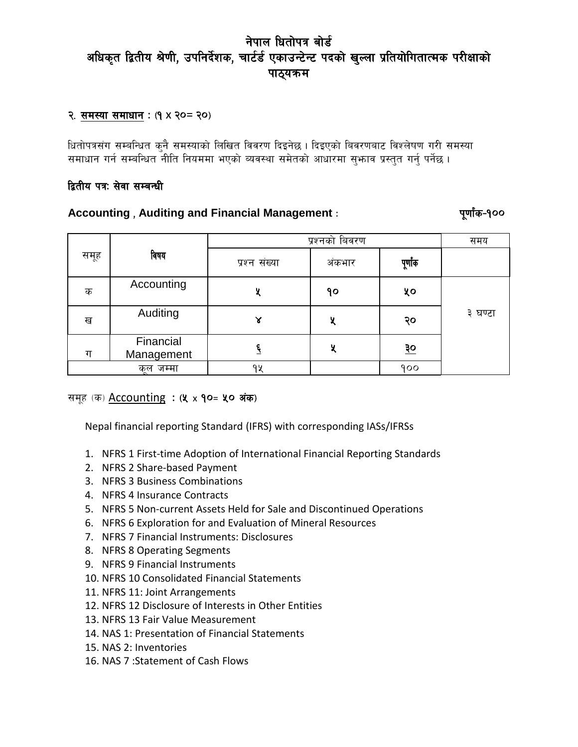#### २. समस्या समाधान: (१ x २० = २०)

धितोपत्रसंग सम्बन्धित कुनै समस्याको लिखित विवरण दिइनेछ । दिइएको बिवरणबाट विश्लेषण गरी समस्या समाधान गर्न सम्बन्धित नीति नियममा भएको ब्यवस्था समेतको आधारमा सुभ्राव प्रस्तुत गर्नु पर्नेछ ।

#### द्वितीय पत्र: सेवा सम्बन्धी

#### **Accounting , Auditing and Financial Management** : पूर्णांक-100

|      |                         | प्रश्नको बिवरण |        |           | समय     |
|------|-------------------------|----------------|--------|-----------|---------|
| समूह | विषय                    | प्रश्न संख्या  | अंकभार | पूर्णाक   |         |
| क    | Accounting              |                | ٩o     | ५०        |         |
| ख    | Auditing                | γ              | χ      | २०        | ३ घण्टा |
| ग    | Financial<br>Management |                | У      | <u>३०</u> |         |
|      | जम्मा<br>कल             | 94             |        | 900       |         |

#### समूह (क) **Accounting : (५ x १०= ५० अंक)**

Nepal financial reporting Standard (IFRS) with corresponding IASs/IFRSs

- 1. NFRS 1 First-time Adoption of [International](http://eifrs.ifrs.org/eifrs/SearchContent?number=1&collection=2013_Red_Book&ref=AdvSearchS&standard_type=IFRS) Financial Reporting Standards
- 2. NFRS 2 [Share-based](http://eifrs.ifrs.org/eifrs/SearchContent?number=2&collection=2013_Red_Book&ref=AdvSearchS&standard_type=IFRS) Payment
- 3. NFRS 3 Business [Combinations](http://eifrs.ifrs.org/eifrs/SearchContent?number=3&collection=2013_Red_Book&ref=AdvSearchS&standard_type=IFRS)
- 4. NFRS 4 [Insurance](http://eifrs.ifrs.org/eifrs/SearchContent?number=4&collection=2013_Red_Book&ref=AdvSearchS&standard_type=IFRS) Contracts
- 5. NFRS 5 Non-current Assets Held for Sale and Discontinued Operations
- 6. NFRS 6 [Exploration](http://eifrs.ifrs.org/eifrs/SearchContent?number=6&collection=2013_Red_Book&ref=AdvSearchS&standard_type=IFRS) for and Evaluation of Mineral Resources
- 7. NFRS 7 Financial [Instruments:](http://eifrs.ifrs.org/eifrs/SearchContent?number=7&collection=2013_Red_Book&ref=AdvSearchS&standard_type=IFRS) Disclosures
- 8. NFRS 8 [Operating](http://eifrs.ifrs.org/eifrs/SearchContent?number=8&collection=2013_Red_Book&ref=AdvSearchS&standard_type=IFRS) Segments
- 9. NFRS 9 Financial [Instruments](http://eifrs.ifrs.org/eifrs/SearchContent?number=9&collection=2013_Red_Book&ref=AdvSearchS&standard_type=IFRS)
- 10. NFRS 10 [Consolidated](http://eifrs.ifrs.org/eifrs/SearchContent?number=10&collection=2013_Red_Book&ref=AdvSearchS&standard_type=IFRS) Financial Statements
- 11. NFRS 11: Joint Arrangements
- 12. NFRS 12 [Disclosure](http://eifrs.ifrs.org/eifrs/SearchContent?number=12&collection=2013_Red_Book&ref=AdvSearchS&standard_type=IFRS) of Interests in Other Entities
- 13. NFRS 13 Fair Value [Measurement](http://eifrs.ifrs.org/eifrs/SearchContent?number=13&collection=2013_Red_Book&ref=AdvSearchS&standard_type=IFRS)
- 14. NAS 1: Presentation of Financial Statements
- 15. NAS 2: Inventories
- 16. NAS 7 :Statement of Cash Flows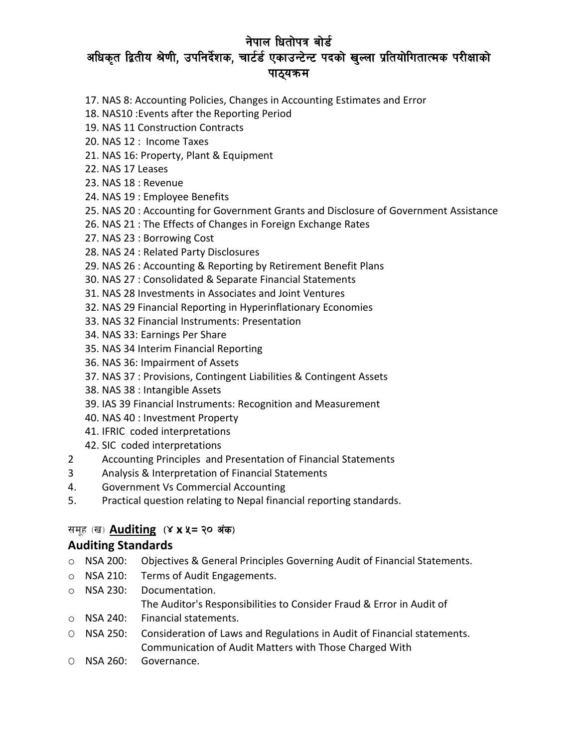- 17. NAS 8: Accounting Policies, Changes in Accounting Estimates and Error
- 18. NAS10 :Events after the Reporting Period
- 19. NAS 11 [Construction](http://eifrs.ifrs.org/eifrs/SearchContent?number=11&collection=2013_Red_Book&ref=AdvSearchS&standard_type=IAS) Contracts
- 20. NAS 12 : Income Taxes
- 21. NAS 16: Property, Plant & Equipment
- 22. NAS 17 [Leases](http://eifrs.ifrs.org/eifrs/SearchContent?number=17&collection=2013_Red_Book&ref=AdvSearchS&standard_type=IAS)
- 23. NAS 18 : Revenue
- 24. NAS 19 : Employee Benefits
- 25. NAS 20 : Accounting for Government Grants and Disclosure of Government Assistance
- 26. NAS 21 : The Effects of Changes in Foreign Exchange Rates
- 27. NAS 23 : Borrowing Cost
- 28. NAS 24 : Related Party Disclosures
- 29. NAS 26 : Accounting & Reporting by Retirement Benefit Plans
- 30. NAS 27 : Consolidated & Separate Financial Statements
- 31. NAS 28 [Investments](http://eifrs.ifrs.org/eifrs/SearchContent?number=28&collection=2013_Red_Book&ref=AdvSearchS&standard_type=IAS) in Associates and Joint Ventures
- 32. NAS 29 Financial Reporting in [Hyperinflationary](http://eifrs.ifrs.org/eifrs/SearchContent?number=29&collection=2013_Red_Book&ref=AdvSearchS&standard_type=IAS) Economies
- 33. NAS 32 Financial Instruments: [Presentation](http://eifrs.ifrs.org/eifrs/SearchContent?number=32&collection=2013_Red_Book&ref=AdvSearchS&standard_type=IAS)
- 34. NAS 33: Earnings Per Share
- 35. NAS 34 Interim Financial [Reporting](http://eifrs.ifrs.org/eifrs/SearchContent?number=34&collection=2013_Red_Book&ref=AdvSearchS&standard_type=IAS)
- 36. NAS 36: Impairment of Assets
- 37. NAS 37 : Provisions, Contingent Liabilities & Contingent Assets
- 38. NAS 38 : Intangible Assets
- 39. IAS 39 Financial Instruments: Recognition and [Measurement](http://eifrs.ifrs.org/eifrs/SearchContent?number=39&collection=2013_Red_Book&ref=AdvSearchS&standard_type=IAS)
- 40. NAS 40 : Investment Property
- 41. IFRIC coded interpretations
- 42. SIC coded interpretations
- 2 Accounting Principles and Presentation of Financial Statements
- 3 Analysis & Interpretation of Financial Statements
- 4. Government Vs Commercial Accounting
- 5. Practical question relating to Nepal financial reporting standards.

### समूह (ख) **Auditing (४ x ५ = २० अंक)**

### **Auditing Standards**

- o NSA 200: Objectives & General Principles Governing Audit of Financial Statements.
- o NSA 210: Terms of Audit Engagements.
- o NSA 230: Documentation. The Auditor's Responsibilities to Consider Fraud & Error in Audit of
- o NSA 240: Financial statements.
- O NSA 250: Consideration of Laws and Regulations in Audit of Financial statements. Communication of Audit Matters with Those Charged With
- O NSA 260: Governance.